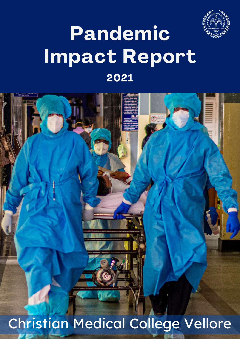

### 2021 Impact Report Pandemic

Christian Medical College Vellore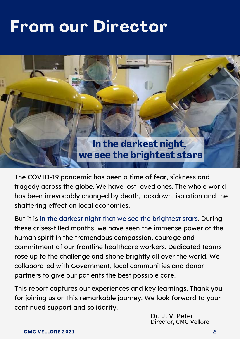### From our Director



The COVID-19 pandemic has been a time of fear, sickness and tragedy across the globe. We have lost loved ones. The whole world has been irrevocably changed by death, lockdown, isolation and the shattering effect on local economies.

But it is in the darkest night that we see the brightest stars. During these crises-filled months, we have seen the immense power of the human spirit in the tremendous compassion, courage and commitment of our frontline healthcare workers. Dedicated teams rose up to the challenge and shone brightly all over the world. We collaborated with Government, local communities and donor partners to give our patients the best possible care.

This report captures our experiences and key learnings. Thank you for joining us on this remarkable journey. We look forward to your continued support and solidarity.

> Dr. J. V. Peter Director, CMC Vellore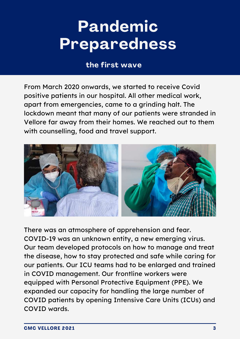### Pandemic Preparedness

### the first wave

From March 2020 onwards, we started to receive Covid positive patients in our hospital. All other medical work, apart from emergencies, came to a grinding halt. The lockdown meant that many of our patients were stranded in Vellore far away from their homes. We reached out to them with counselling, food and travel support.



There was an atmosphere of apprehension and fear. COVID-19 was an unknown entity, a new emerging virus. Our team developed protocols on how to manage and treat the disease, how to stay protected and safe while caring for our patients. Our ICU teams had to be enlarged and trained in COVID management. Our frontline workers were equipped with Personal Protective Equipment (PPE). We expanded our capacity for handling the large number of COVID patients by opening Intensive Care Units (ICUs) and COVID wards.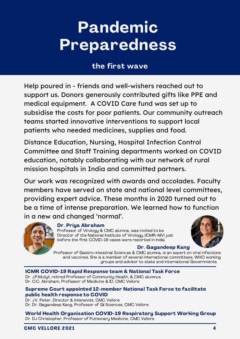### Pandemic Preparedness

### the first wave

Help poured in - friends and well-wishers reached out to support us. Donors generously contributed gifts like PPE and medical equipment. A COVID Care fund was set up to subsidise the costs for poor patients. Our community outreach teams started innovative interventions to support local patients who needed medicines, supplies and food.

Distance Education, Nursing, Hospital Infection Control Committee and Staff Training departments worked on COVID education, notably collaborating with our network of rural mission hospitals in India and committed partners.

Our work was recognized with awards and accolades. Faculty members have served on state and national level committees, providing expert advice. These months in 2020 turned out to be a time of intense preparation. We learned how to function in a new and changed 'normal'.



#### Dr. Priya Abraham

Professor of Virology & CMC alumna, was invited to be Director of the National Institute of Virology (ICMR-NIV) just before the first COVID-19 cases were reported in India.



#### Dr. Gagandeep Kang

Professor of Gastro-intestinal Sciences & CMC alumna, is an expert on viral infections and vaccines. She is a member of several international committees, WHO working groups and advisor to state and international Governments.

#### ICMR COVID-19 Rapid Response team & National Task Force

Dr. J.P.Muliyil, retired Professor of Community Health, & CMC alumnus Dr. O.C. Abraham, Professor of Medicine & ID, CMC Vellore

#### Supreme Court appointed 12-member National Task Force to facilitate public health response to COVID

Dr. J.V. Peter, Director & Intensivist, CMC Vellore Dr. Dr. Gagandeep Kang, Professor of GI Sciences, CMC Vellore

World Health Organisation COVID-19 Respiratory Support Working Group Dr. DJ Christopher, Professor of Pulmonary Medicine, CMC Vellore

#### CMC VELLORE 2021 4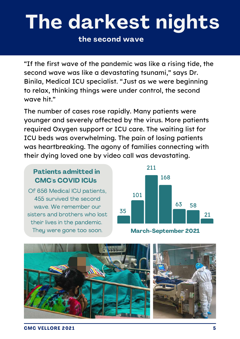## The darkest nights

the second wave

"If the first wave of the pandemic was like a rising tide, the second wave was like a devastating tsunami, " says Dr. Binila, Medical ICU specialist. "Just as we were beginning to relax, thinking things were under control, the second wave hit."

The number of cases rose rapidly. Many patients were younger and severely affected by the virus. More patients required Oxygen support or ICU care. The waiting list for ICU beds was overwhelming. The pain of losing patients was heartbreaking. The agony of families connecting with their dying loved one by video call was devastating.

### Patients admitted in CMC's COVID ICUs

Of 656 Medical ICU patients, 455 survived the second wave. We remember our sisters and brothers who lost their lives in the pandemic. They were gone too soon. March-September 2021



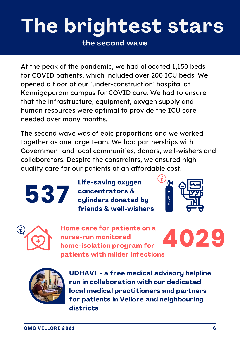# The brightest stars

the second wave

At the peak of the pandemic, we had allocated 1,150 beds for COVID patients, which included over 200 ICU beds. We opened a floor of our 'under-construction' hospital at Kannigapuram campus for COVID care. We had to ensure that the infrastructure, equipment, oxygen supply and human resources were optimal to provide the ICU care needed over many months.

The second wave was of epic proportions and we worked together as one large team. We had partnerships with Government and local communities, donors, well-wishers and collaborators. Despite the constraints, we ensured high quality care for our patients at an affordable cost.

Life-saving oxygen concentrators & **537** concentrators &<br>cylinders donated by<br>friends & well-wisher friends & well-wishers





Home care for patients on a nurse-run monitored home-isolation program for patients with milder infections





UDHAVI - a free medical advisory helpline run in collaboration with our dedicated local medical practitioners and partners for patients in Vellore and neighbouring districts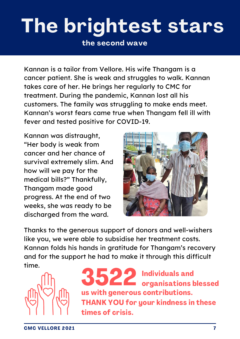## The brightest stars

the second wave

Kannan is a tailor from Vellore. His wife Thangam is a cancer patient. She is weak and struggles to walk. Kannan takes care of her. He brings her regularly to CMC for treatment. During the pandemic, Kannan lost all his customers. The family was struggling to make ends meet. Kannan's worst fears came true when Thangam fell ill with fever and tested positive for COVID-19.

Kannan was distraught, "Her body is weak from cancer and her chance of survival extremely slim. And how will we pay for the medical bills?" Thankfully, Thangam made good progress. At the end of two weeks, she was ready to be discharged from the ward.



Thanks to the generous support of donors and well-wishers like you, we were able to subsidise her treatment costs. Kannan folds his hands in gratitude for Thangam's recovery and for the support he had to make it through this difficult time.



3522 Individuals and organisations blessed us with generous contributions. THANK YOU for your kindness in these times of crisis.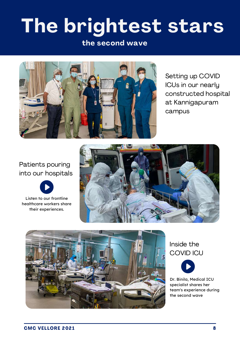## The brightest stars

#### the second wave



Setting up COVID ICUs in our nearly constructed hospital at Kannigapuram campus

### Patients pouring into our hospitals



Listen to our frontline healthcare workers share their experiences.





### Inside the COVID ICU



Dr. Binila, Medical ICU specialist shares her team's [experience](https://www.youtube.com/watch?v=lJxIoYW1MoU&t=25s) during the second wave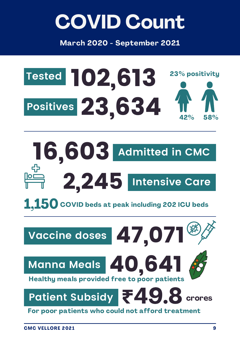### COVID Count

March 2020 - September 2021



**Admitted in CMC** 16,603 2 **Intensive Care** ,245

 $\bf 1.150$  COVID beds at peak including 202 ICU beds



For poor patients who could not afford treatment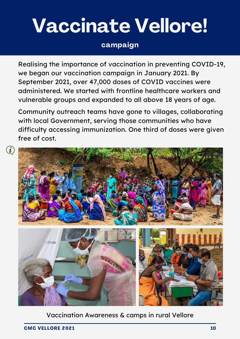### Vaccinate Vellore!

### campaign

Realising the importance of vaccination in preventing COVID-19, we began our vaccination campaign in January 2021. By September 2021, over 47,000 doses of COVID vaccines were administered. We started with frontline healthcare workers and vulnerable groups and expanded to all above 18 years of age.

Community outreach teams have gone to villages, collaborating with local Government, serving those communities who have difficulty accessing immunization. One third of doses were given free of cost.



#### Vaccination Awareness & camps in rural Vellore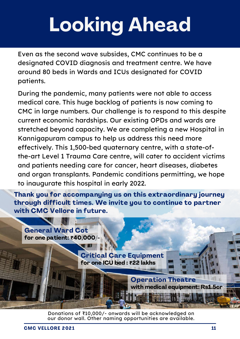# Looking Ahead

Even as the second wave subsides, CMC continues to be a designated COVID diagnosis and treatment centre. We have around 80 beds in Wards and ICUs designated for COVID patients.

During the pandemic, many patients were not able to access medical care. This huge backlog of patients is now coming to CMC in large numbers. Our challenge is to respond to this despite current economic hardships. Our existing OPDs and wards are stretched beyond capacity. We are completing a new Hospital in Kannigapuram campus to help us address this need more effectively. This 1,500-bed quaternary centre, with a state-ofthe-art Level 1 Trauma Care centre, will cater to accident victims and patients needing care for cancer, heart diseases, diabetes and organ transplants. Pandemic conditions permitting, we hope to inaugurate this hospital in early 2022.

Thank you for accompanying us on this extraordinary journey through difficult times. We invite you to continue to partner with CMC Vellore in future.

General Ward Cot for one patient: **₹**40,000/- Critical Care Equipment for one ICU bed : **₹**22 lakhs Operation Theatre with medical equipment: Rs1.5cr

> Donations of ₹10,000/- onwards will be acknowledged on our donor wall. Other naming opportunities are available.